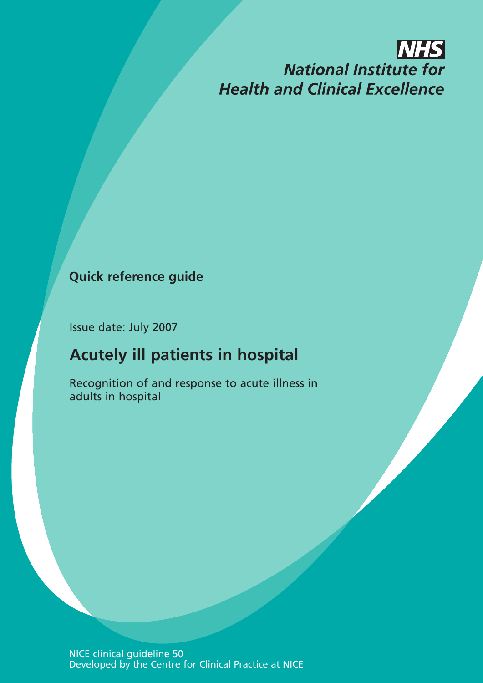# **NHS National Institute for Health and Clinical Excellence**

### **Quick reference guide**

Issue date: July 2007

## **Acutely ill patients in hospital**

Recognition of and response to acute illness in adults in hospital

NICE clinical guideline 50 Developed by the Centre for Clinical Practice at NICE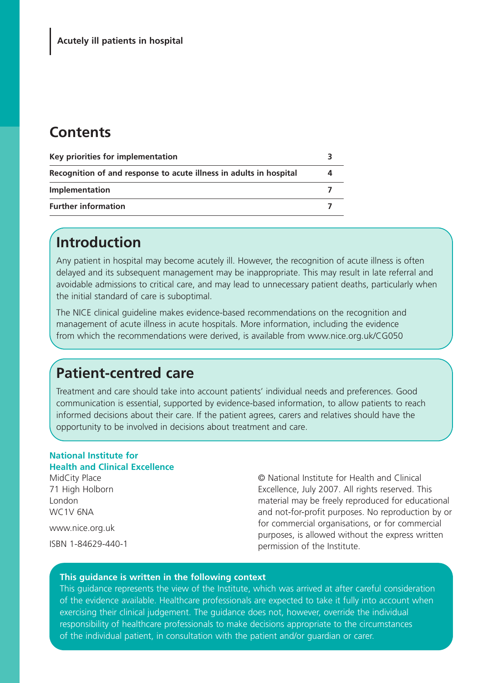### **Contents**

| Key priorities for implementation                                  |  |
|--------------------------------------------------------------------|--|
| Recognition of and response to acute illness in adults in hospital |  |
| Implementation                                                     |  |
| <b>Further information</b>                                         |  |

### **Introduction**

Any patient in hospital may become acutely ill. However, the recognition of acute illness is often delayed and its subsequent management may be inappropriate. This may result in late referral and avoidable admissions to critical care, and may lead to unnecessary patient deaths, particularly when the initial standard of care is suboptimal.

The NICE clinical guideline makes evidence-based recommendations on the recognition and management of acute illness in acute hospitals. More information, including the evidence from which the recommendations were derived, is available from www.nice.org.uk/CG050

### **Patient-centred care**

Treatment and care should take into account patients' individual needs and preferences. Good communication is essential, supported by evidence-based information, to allow patients to reach informed decisions about their care. If the patient agrees, carers and relatives should have the opportunity to be involved in decisions about treatment and care.

#### **National Institute for Health and Clinical Excellence**

MidCity Place

71 High Holborn London WC1V 6NA

www.nice.org.uk

ISBN 1-84629-440-1

© National Institute for Health and Clinical Excellence, July 2007. All rights reserved. This material may be freely reproduced for educational and not-for-profit purposes. No reproduction by or for commercial organisations, or for commercial purposes, is allowed without the express written permission of the Institute.

#### **This guidance is written in the following context**

This guidance represents the view of the Institute, which was arrived at after careful consideration of the evidence available. Healthcare professionals are expected to take it fully into account when exercising their clinical judgement. The guidance does not, however, override the individual responsibility of healthcare professionals to make decisions appropriate to the circumstances of the individual patient, in consultation with the patient and/or guardian or carer.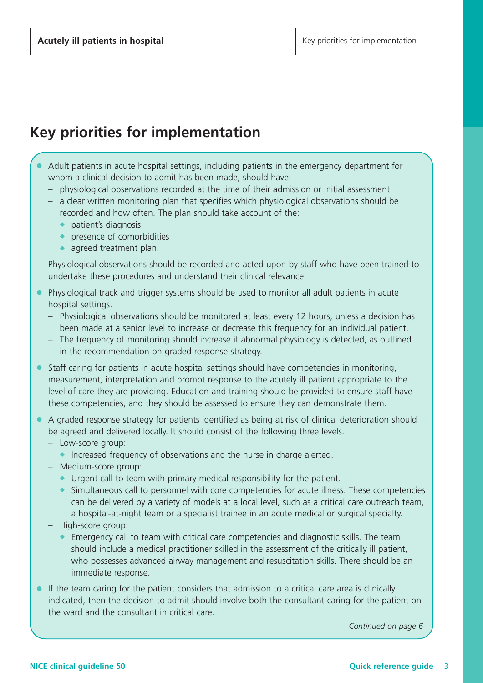### **Key priorities for implementation**

- **●** Adult patients in acute hospital settings, including patients in the emergency department for whom a clinical decision to admit has been made, should have:
	- physiological observations recorded at the time of their admission or initial assessment
	- a clear written monitoring plan that specifies which physiological observations should be recorded and how often. The plan should take account of the:
		- **◆** patient's diagnosis
		- **◆** presence of comorbidities
		- **◆** agreed treatment plan.

Physiological observations should be recorded and acted upon by staff who have been trained to undertake these procedures and understand their clinical relevance.

- **●** Physiological track and trigger systems should be used to monitor all adult patients in acute hospital settings.
	- Physiological observations should be monitored at least every 12 hours, unless a decision has been made at a senior level to increase or decrease this frequency for an individual patient.
	- The frequency of monitoring should increase if abnormal physiology is detected, as outlined in the recommendation on graded response strategy.
- Staff caring for patients in acute hospital settings should have competencies in monitoring, measurement, interpretation and prompt response to the acutely ill patient appropriate to the level of care they are providing. Education and training should be provided to ensure staff have these competencies, and they should be assessed to ensure they can demonstrate them.
- A graded response strategy for patients identified as being at risk of clinical deterioration should be agreed and delivered locally. It should consist of the following three levels.
	- Low-score group:
		- **◆** Increased frequency of observations and the nurse in charge alerted.
	- Medium-score group:
		- **◆** Urgent call to team with primary medical responsibility for the patient.
		- **◆** Simultaneous call to personnel with core competencies for acute illness. These competencies can be delivered by a variety of models at a local level, such as a critical care outreach team, a hospital-at-night team or a specialist trainee in an acute medical or surgical specialty.
	- High-score group:
		- **◆** Emergency call to team with critical care competencies and diagnostic skills. The team should include a medical practitioner skilled in the assessment of the critically ill patient, who possesses advanced airway management and resuscitation skills. There should be an immediate response.
- **●** If the team caring for the patient considers that admission to a critical care area is clinically indicated, then the decision to admit should involve both the consultant caring for the patient on the ward and the consultant in critical care.

*Continued on page 6*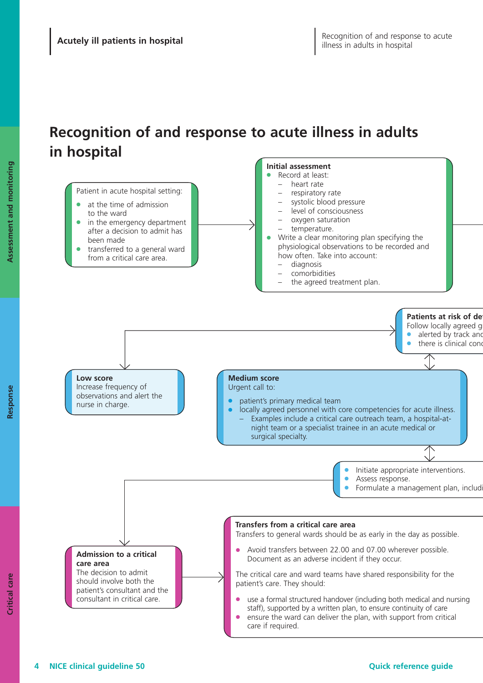## **Recognition of and response to acute illness in adults in hospital**

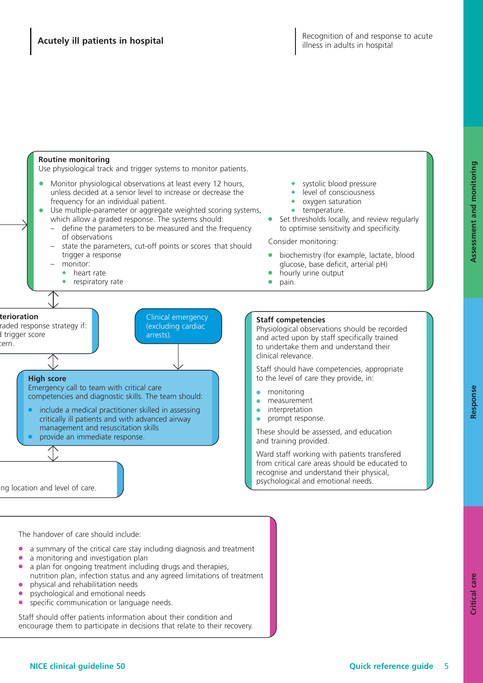

The handover of care should include:

- **●** a summary of the critical care stay including diagnosis and treatment
- **●** a monitoring and investigation plan
- a plan for ongoing treatment including drugs and therapies. nutrition plan, infection status and any agreed limitations of treatment
- **●** physical and rehabilitation needs
- **●** psychological and emotional needs
- **●** specific communication or language needs.

Staff should offer patients information about their condition and encourage them to participate in decisions that relate to their recovery. **Resp**

**onse**

**Assessm**

**ent and**

**m**

**onitoring**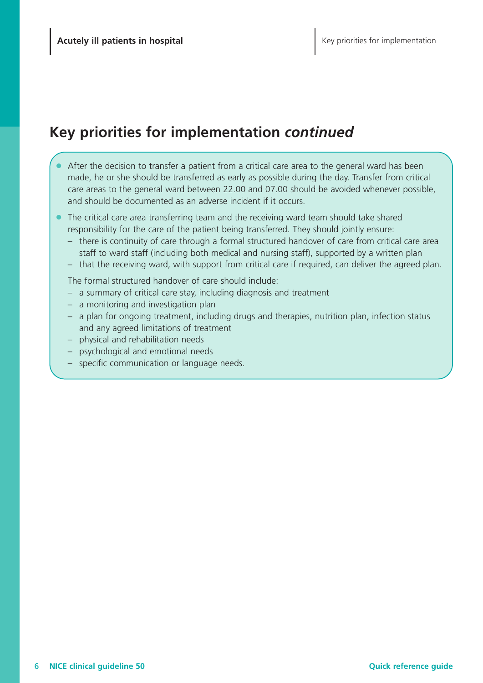## **Key priorities for implementation** *continued*

- After the decision to transfer a patient from a critical care area to the general ward has been made, he or she should be transferred as early as possible during the day. Transfer from critical care areas to the general ward between 22.00 and 07.00 should be avoided whenever possible, and should be documented as an adverse incident if it occurs.
- **●** The critical care area transferring team and the receiving ward team should take shared responsibility for the care of the patient being transferred. They should jointly ensure:
	- there is continuity of care through a formal structured handover of care from critical care area staff to ward staff (including both medical and nursing staff), supported by a written plan
	- that the receiving ward, with support from critical care if required, can deliver the agreed plan.

The formal structured handover of care should include:

- a summary of critical care stay, including diagnosis and treatment
- a monitoring and investigation plan
- a plan for ongoing treatment, including drugs and therapies, nutrition plan, infection status and any agreed limitations of treatment
- physical and rehabilitation needs
- psychological and emotional needs
- specific communication or language needs.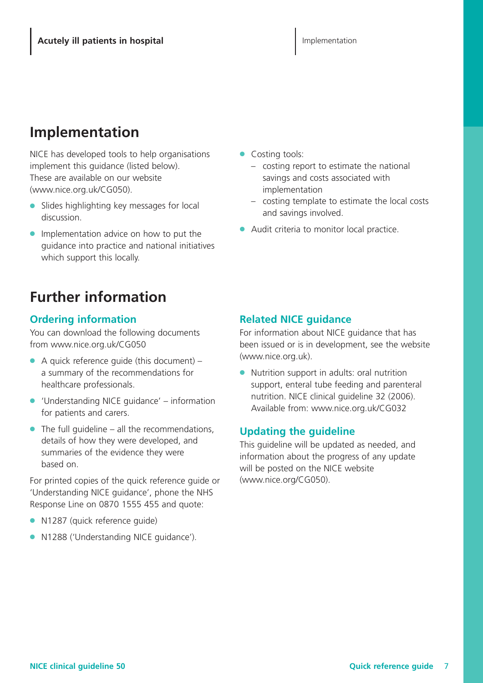### **Implementation**

NICE has developed tools to help organisations implement this guidance (listed below). These are available on our website (www.nice.org.uk/CG050).

- **●** Slides highlighting key messages for local discussion.
- **●** Implementation advice on how to put the guidance into practice and national initiatives which support this locally.

## **Further information**

### **Ordering information**

You can download the following documents from www.nice.org.uk/CG050

- **●** A quick reference guide (this document) a summary of the recommendations for healthcare professionals.
- **●** 'Understanding NICE guidance' information for patients and carers.
- **●** The full guideline all the recommendations, details of how they were developed, and summaries of the evidence they were based on.

For printed copies of the quick reference guide or 'Understanding NICE guidance', phone the NHS Response Line on 0870 1555 455 and quote:

- **●** N1287 (quick reference guide)
- **●** N1288 ('Understanding NICE guidance').
- **●** Costing tools:
	- costing report to estimate the national savings and costs associated with implementation
	- costing template to estimate the local costs and savings involved.
- Audit criteria to monitor local practice.

#### **Related NICE guidance**

For information about NICE guidance that has been issued or is in development, see the website (www.nice.org.uk).

● Nutrition support in adults: oral nutrition support, enteral tube feeding and parenteral nutrition. NICE clinical guideline 32 (2006). Available from: www.nice.org.uk/CG032

#### **Updating the guideline**

This guideline will be updated as needed, and information about the progress of any update will be posted on the NICE website (www.nice.org/CG050).